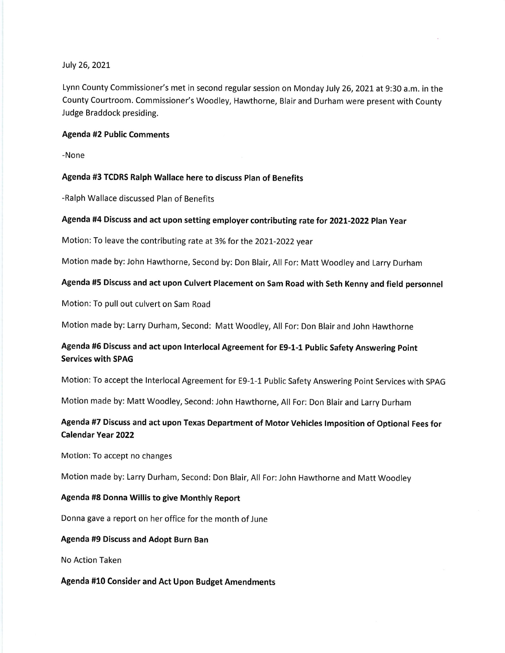### July 26,2O2L

Lynn County Commissioner's met in second regular session on Monday July 26, 2021 at 9:30 a.m. in the County Courtroom. Commissioner's Woodley, Hawthorne, Blair and Durham were present with County Judge Braddock presiding.

## Agenda #2 Public Comments

-None

## Agenda #3 TCDRS Ralph Wallace here to discuss plan of Benefits

-Ralph Wallace discussed Plan of Benefits

## Agenda #4 Discuss and act upon setting employer contributing rate for 2O2L-2O22 Plan Year

Motion: To leave the contributing rate at 3% for the 2021-2022 year

Motion made by: John Hawthorne, Second by: Don Blair, All For: Matt Woodley and Larry Durham

## Agenda #5 Discuss and act upon Culvert Placement on Sam Road with Seth Kenny and field personnel

Motion: To pull out culvert on Sam Road

Motion made by: Larry Durham, Second: Matt Woodley, All For: Don Blair and John Hawthorne

# Agenda #5 Discuss and act upon Interlocal Agreement for E9-1-1 Public Safety Answering point Services with SPAG

Motion: To accept the lnterlocal Agreement for E9-1-1 Public Safety Answering Point Services with SpAG

Motion made by: Matt Woodley, Second: John Hawthorne, All For: Don Blair and Larry Durham

# Agenda #7 Discuss and act upon Texas Department of Motor Vehicles lmposition of Optional Fees for Calendar Year 2022

Motion: To accept no changes

Motion made by: Larry Durham, Second: Don Blair, All For: John Hawthorne and Matt Woodley

#### Agenda #8 Donna Willis to give Monthly Report

Donna gave a report on her office for the month of June

### Agenda #9 Discuss and Adopt Burn Ban

No Action Taken

Agenda #10 Consider and Act Upon Budget Amendments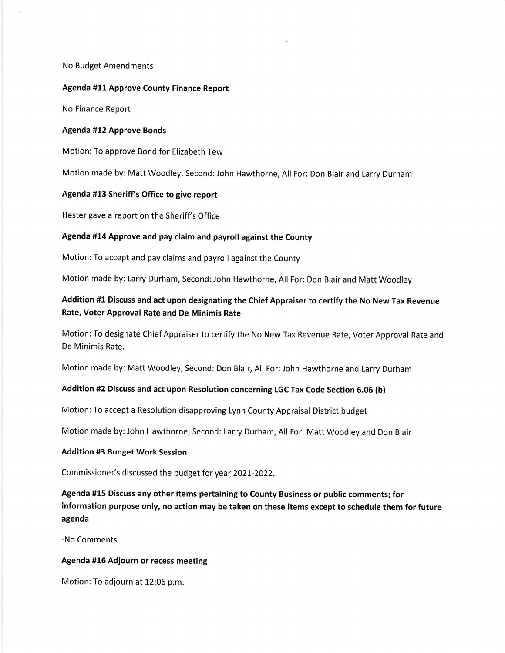No Budget Amendments

#### Agenda #11 Approve County Finance Report

No Finance Report

### Agenda #12 Approve Bonds

Motion: To approve Bond for Elizabeth Tew

Motion made by: Matt Woodley, Second: John Hawthorne, All For: Don Blair and Larry Durham

## Agenda #13 Sheriff's Office to give report

Hester gave a report on the Sheriff's Office

## Agenda #14 Approve and pay claim and payrol! against the County

Motion: To accept and pay claims and payroll against the County

Motion made by: Larry Durham, Second: John Hawthorne, All For: Don Blair and Matt Woodley

# Addition #1 Discuss and act upon designating the Chief Appraiser to certify the No New Tax Revenue Rate, Voter Approval Rate and De Minimis Rate

Motion: To designate Chief Appraiser to certify the No New Tax Revenue Rate, Voter Approval Rate and De Minimis Rate.

Motion made by: Matt Woodley, Second: Don Blair, All For: John Hawthorne and Larry Durham

## Addition #2 Discuss and act upon Resolution concerning LGC Tax Code Section 5.06 (b)

Motion: To accept a Resolution disapproving Lynn County Appraisal District budget

Motion made by: John Hawthorne, Second: Larry Durham, All For: Matt Woodley and Don Blair

### Addition #3 Budget Work Session

Commissioner's discussed the budget for year 2O2t-2022.

Agenda #15 Discuss any other items pertaining to County Business or public comments; for information purpose only, no action may be taken on these items except to schedule them for future agenda

-No Comments

## Agenda #16 Adjourn or recess meeting

Motion: To adjourn at 12:05 p.m.